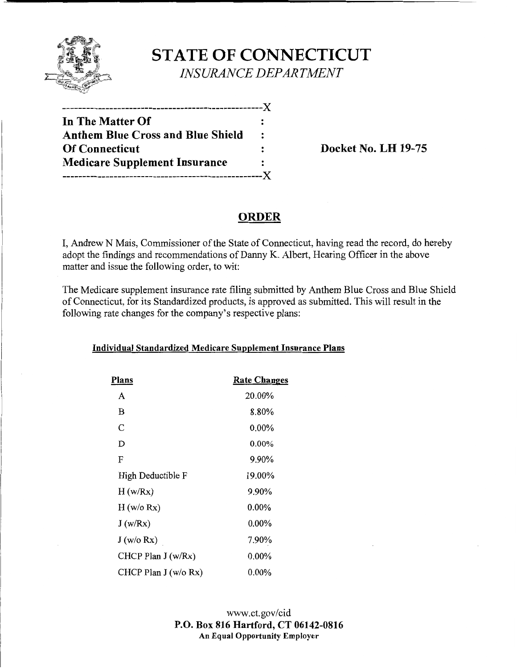

# **STATE OF CONNECTICUT**  *INSURANCE DEPARTMENT*

| In The Matter Of                     |                |
|--------------------------------------|----------------|
| Anthem Blue Cross and Blue Shield    | $\ddot{\cdot}$ |
| <b>Of Connecticut</b>                | $\ddot{\cdot}$ |
| <b>Medicare Supplement Insurance</b> | $\ddot{\cdot}$ |
| ---------------------------          | $-X$           |

**Docket No. LH 19-75** 

## **ORDER**

I, Andrew N Mais, Commissioner of the State of Connecticut, having read the record, do hereby adopt the findings and recommendations of Danny K. Albert, Hearing Officer in the above matter and issue the following order, to wit:

The Medicare supplement insurance rate filing submitted by Anthem Blue Cross and Blue Shield of Connecticut, for its Standardized products, is approved as submitted. This will result in the following rate changes for the company's respective plans:

### **Individual Standardized Medicare Supplement Insurance Plans**

| Plans                 | <b>Rate Changes</b> |
|-----------------------|---------------------|
| A                     | 20.00%              |
| B                     | 8.80%               |
| C                     | $0.00\%$            |
| Ď                     | $0.00\%$            |
| F                     | 9.90%               |
| High Deductible F     | 19.00%              |
| H(w/Rx)               | 9.90%               |
| H (w/o Rx)            | $0.00\%$            |
| J(w/Rx)               | $0.00\%$            |
| J(w/o Rx)             | 7.90%               |
| CHCP Plan $J(w/Rx)$   | $0.00\%$            |
| CHCP Plan $J(w/o Rx)$ | $0.00\%$            |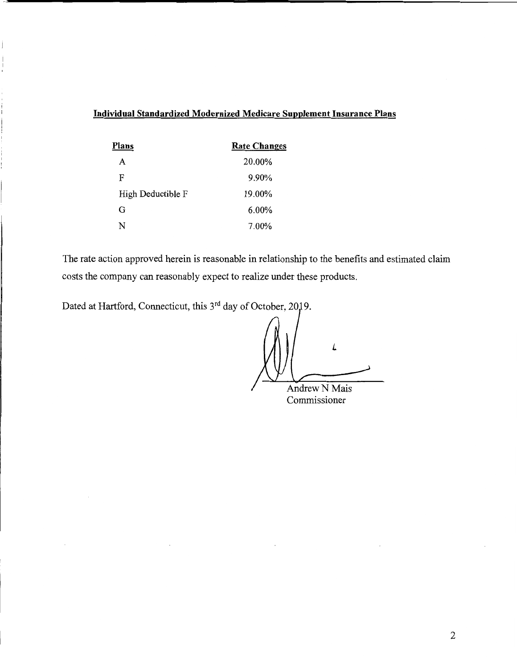### **Individual Standardized Modernized Medicare Supplement Insurance Plans**

| Plans             | <b>Rate Changes</b> |
|-------------------|---------------------|
| A                 | 20.00%              |
| F                 | 9.90%               |
| High Deductible F | 19.00%              |
| G                 | $6.00\%$            |
| N                 | 7.00%               |

The rate action approved herein is reasonable in relationship to the benefits and estimated claim costs the company can reasonably expect to realize under these products.

Dated at Hartford, Connecticut, this 3<sup>rd</sup> day of October, 2019.

*l*  Andrew N Mais

Commissioner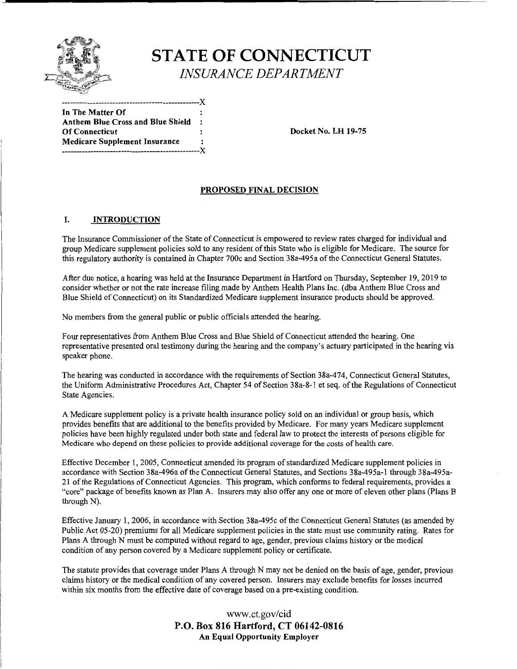

# **ST ATE OF CONNECTICUT**  *INSURANCE DEPARTMENT*

In **The Matter Of Anthem Blue Cross and Blue Shield**  Of Connecticut **Docket No. LH 19-75 Medicare Supplement Insurance**  -------------------------------------------------**X** 

#### **PROPOSED FINAL DECISION**

#### I. **INTRODUCTION**

The Insurance Commissioner of the State of Connecticut is empowered to review rates charged for individual and group Medicare supplement policies sold to any resident of this State who is eligible for Medicare. The source for this regulatory authority is contained in Chapter 700c and Section 38a-495a of the Connecticut General Statutes.

After due notice, a hearing was held at the Insurance Department in Hartford on Thursday, September 19, 2019 to consider whether or not the rate increase filing made by Anthem Health Plans Inc. (dba Anthem Blue Cross and Blue Shield of Connecticut) on its Standardized Medicare supplement insurance products should be approved.

No members from the general public or public officials attended the hearing.

**-------------------------------------------------X** 

Four representatives from Anthem Blue Cross and Blue Shield of Connecticut attended the hearing. One representative presented oral testimony during the hearing and the company's actuary participated in the hearing via speaker phone.

The hearing was conducted in accordance with the requirements of Section 38a-474, Connecticut General Statutes, the Uniform Administrative Procedures Act, Chapter 54 of Section 38a-8-1 et seq. ofthe Regulations of Connecticut State Agencies.

A Medicare supplement policy is a private health insurance policy sold on an individual or group basis, which provides benefits that are additional to the benefits provided by Medicare. For many years Medicare supplement policies have been highly regulated under both state and federal law to protect the interests of persons eligible for Medicare who depend on these policies to provide additional coverage for the costs of health care.

Effective December 1, 2005, Connecticut amended its program of standardized Medicare supplement policies in accordance with Section 38a-496a of the Connecticut General Statutes, and Sections 38a-495a-1 through 38a-495a-21 of the Regulations of Connecticut Agencies. This program, which conforms to federal requirements, provides a "core" package of benefits known as Plan A. Insurers may also offer any one or more of eleven other plans (Plans B through N).

Effective January 1, 2006, in accordance with Section 38a-495c of the Connecticut General Statutes (as amended by Public Act 05-20) premiums for all Medicare supplement policies in the state must use community rating. Rates for Plans A through N must be computed without regard to age, gender, previous claims history or the medical condition of any person covered by a Medicare supplement policy or certificate.

The statute provides that coverage under Plans A through N may not be denied on the basis of age, gender, previous claims history or the medical condition of any covered person. Insurers may exclude benefits for losses incurred within six months from the effective date of coverage based on a pre-existing condition.

> www.ct.gov/cid **P.O. Box 816 Hartford, CT 06142-0816 An Equal Opportunity Employer**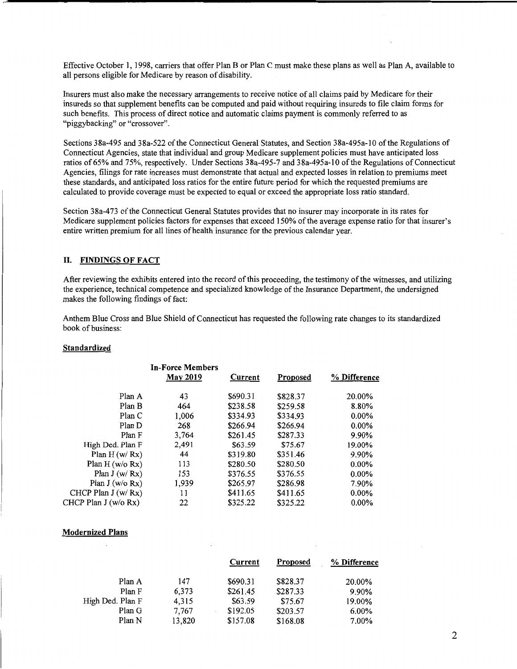Effective October 1, 1998, carriers that offer Plan B or Plan C must make these plans as well as Plan A, available to all persons eligible for Medicare by reason of disability.

Insurers must also make the necessary arrangements to receive notice of all claims paid by Medicare for their insureds so that supplement benefits can be computed and paid without requiring insureds to file claim forms for such benefits. This process of direct notice and automatic claims payment is commonly referred to as "piggybacking" or "crossover".

Sections 38a-495 and 38a-522 of the Connecticut General Statutes, and Section 38a-495a-I0 of the Regulations of Connecticut Agencies, state that individual and group Medicare supplement policies must have anticipated loss ratios of65% and 75%, respectively. Under Sections 38a-495-7 and 38a-495a-I0 ofthe Regulations of Connecticut Agencies, filings for rate increases must demonstrate that actual and expected losses in relation to premiums meet these standards, and anticipated loss ratios for the entire future period for which the requested premiums are calculated to provide coverage must be expected to equal or exceed the appropriate loss ratio standard.

Section 38a-473 of the Connecticut General Statutes provides that no insurer may incorporate in its rates for Medicare supplement policies factors for expenses that exceed 150% of the average expense ratio for that insurer's entire written premium for all lines of health insurance for the previous calendar year.

#### II. **FINDINGS OF FACT**

After reviewing the exhibits entered into the record of this proceeding, the testimony of the witnesses, and utilizing the experience, technical competence and specialized knowledge of the Insurance Department, the undersigned makes the following findings of fact:

Anthem Blue Cross and Blue Shield of Connecticut has requested the following rate changes to its standardized book of business:

#### **Standardized**

|                      | In-Force Members<br><b>May 2019</b> | Current  | Proposed | % Difference |
|----------------------|-------------------------------------|----------|----------|--------------|
| Plan A               | 43                                  | \$690.31 | \$828.37 | 20.00%       |
| Plan B               | 464                                 | \$238.58 | \$259.58 | 8.80%        |
| Plan C               | 1,006                               | \$334.93 | \$334.93 | $0.00\%$     |
| Plan D               | 268                                 | \$266.94 | \$266.94 | $0.00\%$     |
| Plan F               | 3,764                               | \$261.45 | \$287.33 | 9.90%        |
| High Ded. Plan F     | 2,491                               | \$63.59  | \$75.67  | 19.00%       |
| Plan $H(w/Rx)$       | 44                                  | \$319.80 | \$351.46 | 9.90%        |
| Plan $H (w/o Rx)$    | 113                                 | \$280.50 | \$280.50 | $0.00\%$     |
| Plan $J(w/Rx)$       | 153                                 | \$376.55 | \$376.55 | $0.00\%$     |
| Plan $J(w/o Rx)$     | 1,939                               | \$265.97 | \$286.98 | 7.90%        |
| CHCP Plan $J(w/Rx)$  | 11                                  | \$411.65 | \$411.65 | $0.00\%$     |
| CHCP Plan J (w/o Rx) | 22                                  | \$325.22 | \$325.22 | $0.00\%$     |

#### **Modernized Plans**

|                  |        | Current  | <b>Proposed</b> | % Difference |
|------------------|--------|----------|-----------------|--------------|
| Plan A           | 147    | \$690.31 | \$828.37        | 20.00%       |
| Plan F           | 6,373  | \$261.45 | \$287.33        | 9.90%        |
| High Ded. Plan F | 4.315  | \$63.59  | \$75.67         | 19.00%       |
| Plan G           | 7,767  | \$192.05 | \$203.57        | $6.00\%$     |
| Plan N           | 13,820 | \$157.08 | \$168.08        | 7.00%        |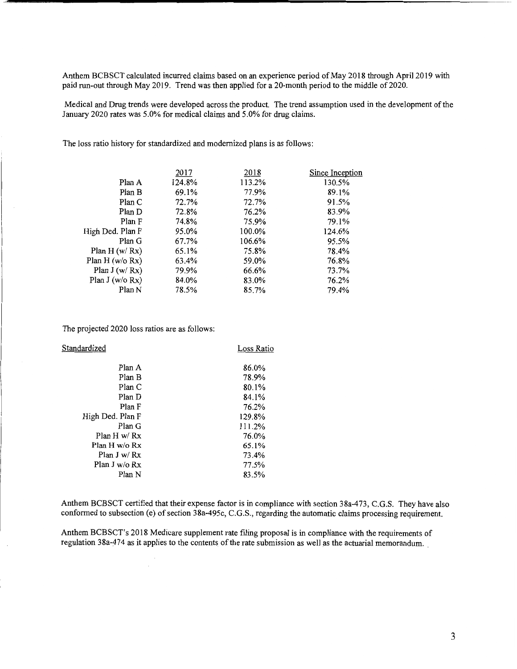Anthem BCBSCT calculated incurred claims based on an experience period of May 2018 through April 2019 with paid run-out through May 2019. Trend was then applied for a 20-month period to the middle of 2020.

Medical and Drug trends were developed across the product. The trend assumption used in the development of the January 2020 rates was 5.0% for medical claims and 5.0% for drug claims.

The loss ratio history for standardized and modernized plans is as follows:

| 2017   | 2018   | Since Inception |
|--------|--------|-----------------|
| 124.8% | 113.2% | 130.5%          |
| 69.1%  | 77.9%  | 89.1%           |
| 72.7%  | 72.7%  | 91.5%           |
| 72.8%  | 76.2%  | 83.9%           |
| 74.8%  | 75.9%  | 79.1%           |
| 95.0%  | 100.0% | 124.6%          |
| 67.7%  | 106.6% | 95.5%           |
| 65.1%  | 75.8%  | 78.4%           |
| 63.4%  | 59.0%  | 76.8%           |
| 79.9%  | 66.6%  | 73.7%           |
| 84.0%  | 83.0%  | 76.2%           |
| 78.5%  | 85.7%  | 79.4%           |
|        |        |                 |

The projected 2020 loss ratios are as follows:

| Standardized     | Loss Ratio |
|------------------|------------|
| Plan A           | 86.0%      |
| Plan B           | 78.9%      |
| Plan C           | 80.1%      |
| Plan D           | 84.1%      |
| Plan F           | 76.2%      |
| High Ded. Plan F | 129.8%     |
| Plan G           | 111.2%     |
| Plan H $w/Rx$    | 76.0%      |
| Plan H w/o Rx    | 65.1%      |
| Plan J w/ $Rx$   | 73.4%      |
| Plan J w/o Rx    | 77.5%      |
| Plan N           | 83.5%      |
|                  |            |

Anthem BCBSCT certified that their expense factor is in compliance with section 38a-473, C.G.S. They have also conformed to subsection (e) of section  $38a-495c$ , C.G.S., regarding the automatic claims processing requirement.

Anthem BCBSCT's 2018 Medicare supplement rate filing proposal is in compliance with the requirements of regulation 38a-474 as it applies to the contents of the rate submission as well as the actuarial memorandum ..